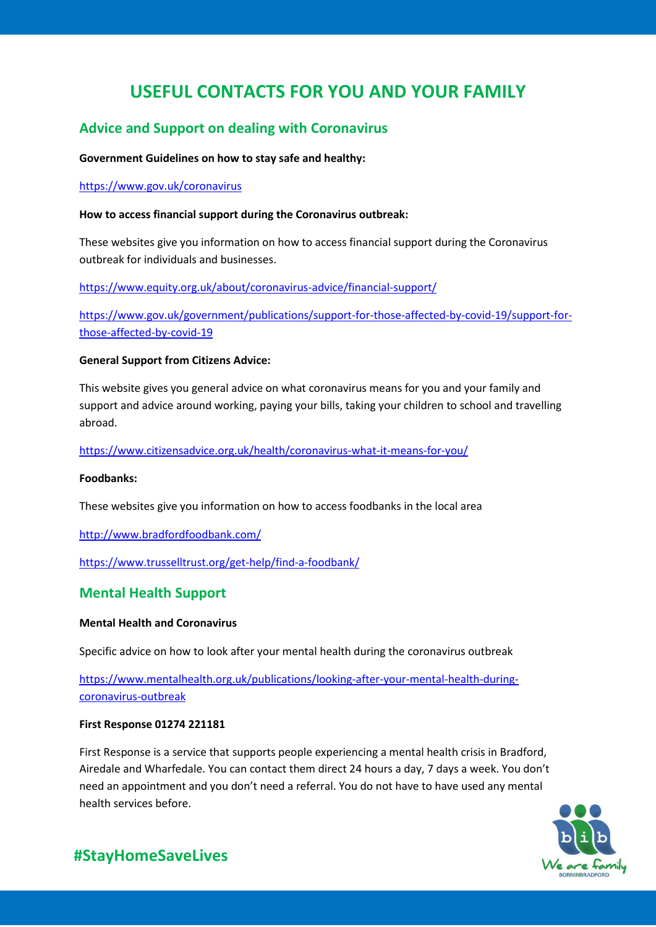# **USEFUL CONTACTS FOR YOU AND YOUR FAMILY**

# **Advice and Support on dealing with Coronavirus**

# **Government Guidelines on how to stay safe and healthy:**

# <https://www.gov.uk/coronavirus>

# **How to access financial support during the Coronavirus outbreak:**

These websites give you information on how to access financial support during the Coronavirus outbreak for individuals and businesses.

<https://www.equity.org.uk/about/coronavirus-advice/financial-support/>

[https://www.gov.uk/government/publications/support-for-those-affected-by-covid-19/support-for](https://www.gov.uk/government/publications/support-for-those-affected-by-covid-19/support-for-those-affected-by-covid-19)[those-affected-by-covid-19](https://www.gov.uk/government/publications/support-for-those-affected-by-covid-19/support-for-those-affected-by-covid-19)

# **General Support from Citizens Advice:**

This website gives you general advice on what coronavirus means for you and your family and support and advice around working, paying your bills, taking your children to school and travelling abroad.

<https://www.citizensadvice.org.uk/health/coronavirus-what-it-means-for-you/>

### **Foodbanks:**

These websites give you information on how to access foodbanks in the local area

<http://www.bradfordfoodbank.com/>

<https://www.trusselltrust.org/get-help/find-a-foodbank/>

# **Mental Health Support**

### **Mental Health and Coronavirus**

Specific advice on how to look after your mental health during the coronavirus outbreak

[https://www.mentalhealth.org.uk/publications/looking-after-your-mental-health-during](https://www.mentalhealth.org.uk/publications/looking-after-your-mental-health-during-coronavirus-outbreak)[coronavirus-outbreak](https://www.mentalhealth.org.uk/publications/looking-after-your-mental-health-during-coronavirus-outbreak)

### **First Response 01274 221181**

First Response is a service that supports people experiencing a mental health crisis in Bradford, Airedale and Wharfedale. You can contact them direct 24 hours a day, 7 days a week. You don't need an appointment and you don't need a referral. You do not have to have used any mental health services before.



# **#StayHomeSaveLives**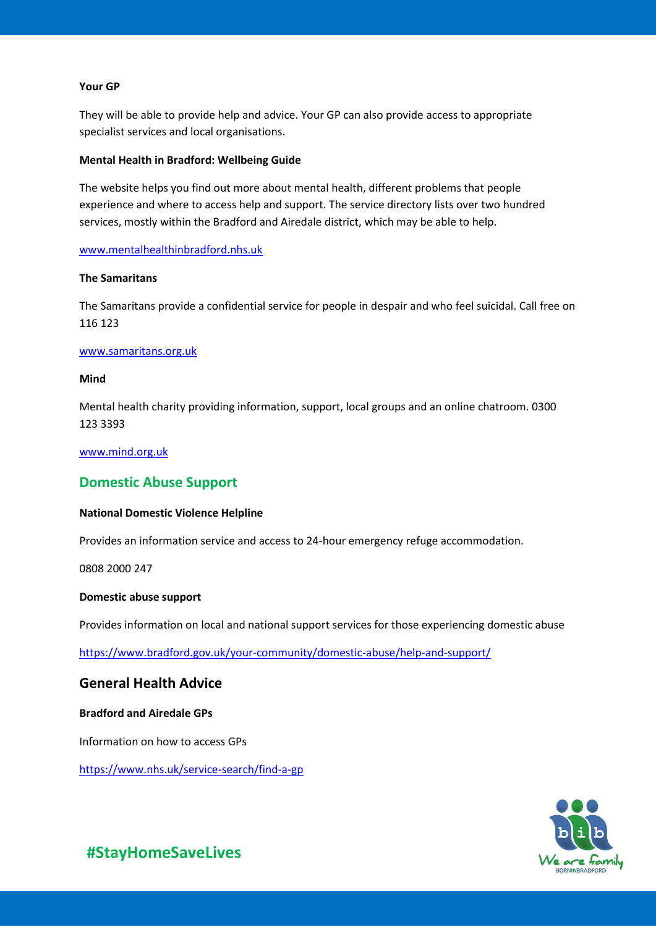#### **Your GP**

They will be able to provide help and advice. Your GP can also provide access to appropriate specialist services and local organisations.

#### **Mental Health in Bradford: Wellbeing Guide**

The website helps you find out more about mental health, different problems that people experience and where to access help and support. The service directory lists over two hundred services, mostly within the Bradford and Airedale district, which may be able to help.

#### [www.mentalhealthinbradford.nhs.uk](http://www.mentalhealthinbradford.nhs.uk/)

#### **The Samaritans**

The Samaritans provide a confidential service for people in despair and who feel suicidal. Call free on 116 123

#### [www.samaritans.org.uk](http://www.samaritans.org.uk/)

#### **Mind**

Mental health charity providing information, support, local groups and an online chatroom. 0300 123 3393

### [www.mind.org.uk](http://www.mind.org.uk/)

# **Domestic Abuse Support**

#### **National Domestic Violence Helpline**

Provides an information service and access to 24-hour emergency refuge accommodation.

0808 2000 247

#### **Domestic abuse support**

Provides information on local and national support services for those experiencing domestic abuse

<https://www.bradford.gov.uk/your-community/domestic-abuse/help-and-support/>

# **General Health Advice**

#### **Bradford and Airedale GPs**

Information on how to access GPs

<https://www.nhs.uk/service-search/find-a-gp>



**#StayHomeSaveLives**